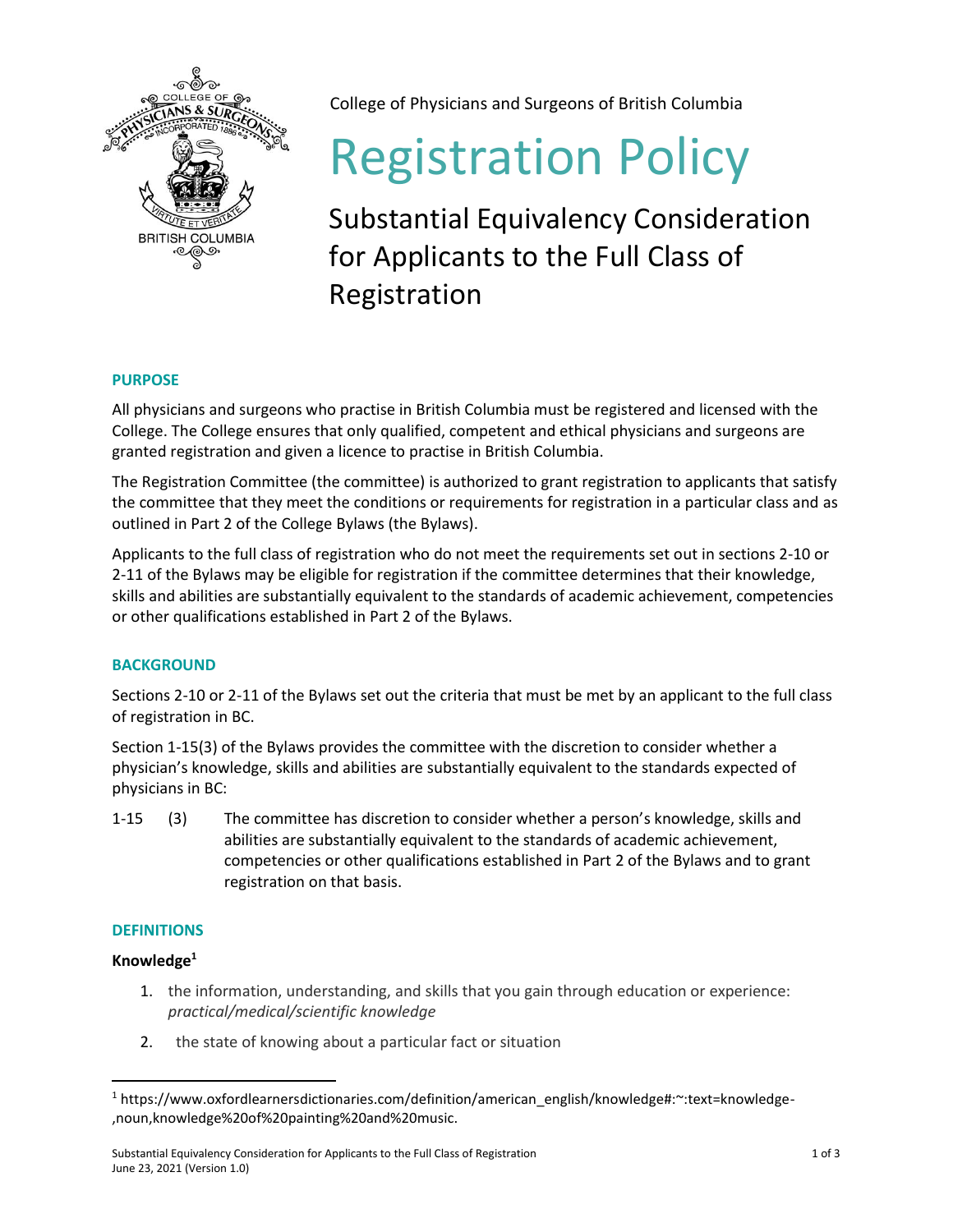

College of Physicians and Surgeons of British Columbia

# Registration Policy

Substantial Equivalency Consideration for Applicants to the Full Class of Registration

## **PURPOSE**

All physicians and surgeons who practise in British Columbia must be registered and licensed with the College. The College ensures that only qualified, competent and ethical physicians and surgeons are granted registration and given a licence to practise in British Columbia.

The Registration Committee (the committee) is authorized to grant registration to applicants that satisfy the committee that they meet the conditions or requirements for registration in a particular class and as outlined in Part 2 of the College Bylaws (the Bylaws).

Applicants to the full class of registration who do not meet the requirements set out in sections 2-10 or 2-11 of the Bylaws may be eligible for registration if the committee determines that their knowledge, skills and abilities are substantially equivalent to the standards of academic achievement, competencies or other qualifications established in Part 2 of the Bylaws.

## **BACKGROUND**

Sections 2-10 or 2-11 of the Bylaws set out the criteria that must be met by an applicant to the full class of registration in BC.

Section 1-15(3) of the Bylaws provides the committee with the discretion to consider whether a physician's knowledge, skills and abilities are substantially equivalent to the standards expected of physicians in BC:

1-15 (3) The committee has discretion to consider whether a person's knowledge, skills and abilities are substantially equivalent to the standards of academic achievement, competencies or other qualifications established in Part 2 of the Bylaws and to grant registration on that basis.

## **DEFINITIONS**

# **Knowledge<sup>1</sup>**

- 1. the information, understanding, and skills that you gain through education or experience: *practical/medical/scientific knowledge*
- 2. the state of knowing about a particular fact or situation

<sup>1</sup> https://www.oxfordlearnersdictionaries.com/definition/american\_english/knowledge#:~:text=knowledge- ,noun,knowledge%20of%20painting%20and%20music.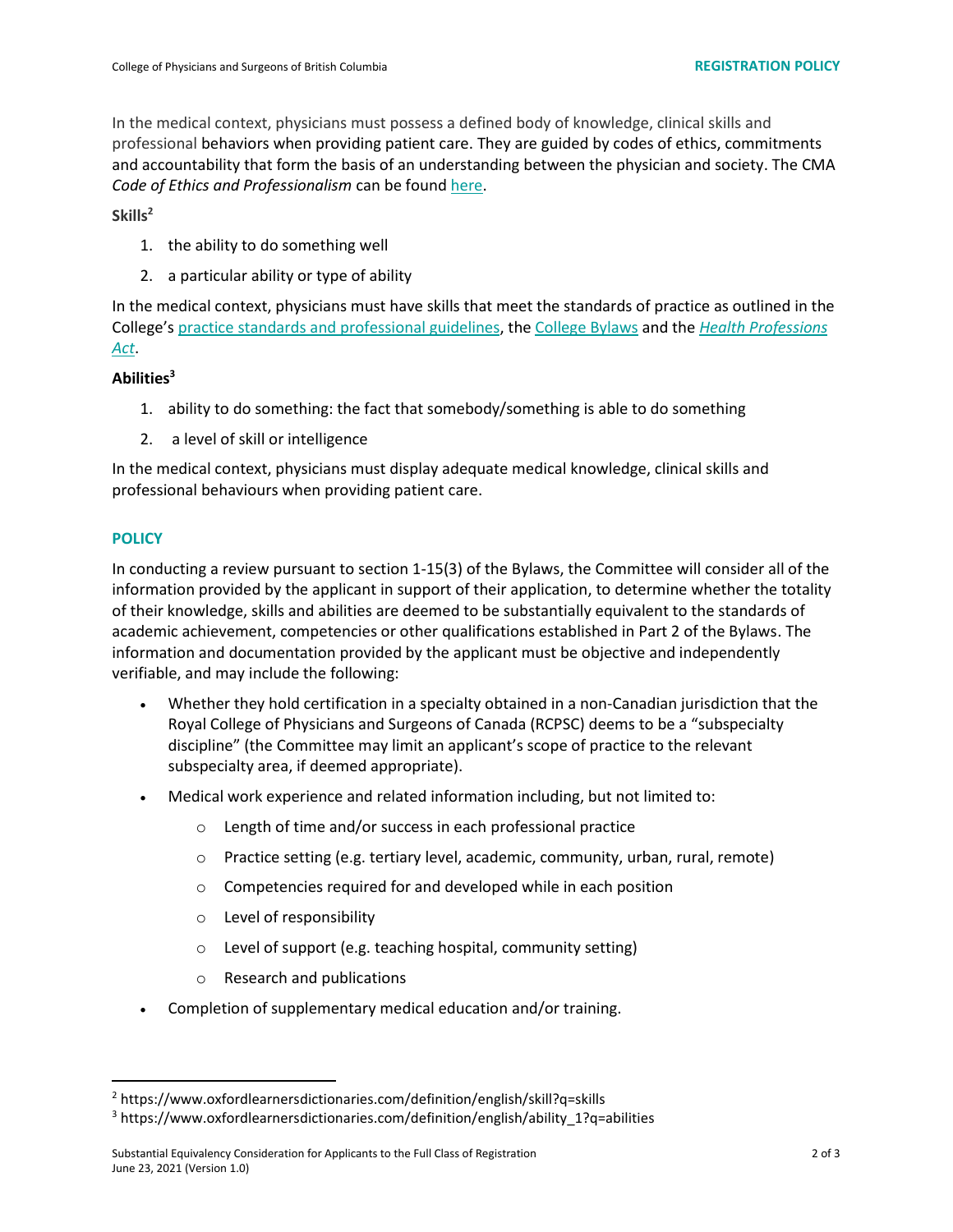In the medical context, physicians must possess a defined body of knowledge, clinical skills and professional behaviors when providing patient care. They are guided by codes of ethics, commitments and accountability that form the basis of an understanding between the physician and society. The CMA *Code of Ethics and Professionalism* can be foun[d here.](https://policybase.cma.ca/documents/policypdf/PD19-03.pdf)

**Skills<sup>2</sup>**

- 1. the ability to do something well
- 2. a particular ability or type of ability

In the medical context, physicians must have skills that meet the standards of practice as outlined in the College's [practice standards and professional guidelines,](https://www.cpsbc.ca/registrants/standards-guidelines) the [College Bylaws](https://www.cpsbc.ca/files/pdf/HPA-Bylaws.pdf) and the *[Health Professions](https://www.bclaws.gov.bc.ca/civix/document/id/complete/statreg/96183_01)  [Act](https://www.bclaws.gov.bc.ca/civix/document/id/complete/statreg/96183_01)*.

#### **Abilities<sup>3</sup>**

- 1. ability to do something: the fact that somebody/something is able to do something
- 2. a level of skill or intelligence

In the medical context, physicians must display adequate medical knowledge, clinical skills and professional behaviours when providing patient care.

#### **POLICY**

In conducting a review pursuant to section 1-15(3) of the Bylaws, the Committee will consider all of the information provided by the applicant in support of their application, to determine whether the totality of their knowledge, skills and abilities are deemed to be substantially equivalent to the standards of academic achievement, competencies or other qualifications established in Part 2 of the Bylaws. The information and documentation provided by the applicant must be objective and independently verifiable, and may include the following:

- Whether they hold certification in a specialty obtained in a non-Canadian jurisdiction that the Royal College of Physicians and Surgeons of Canada (RCPSC) deems to be a "subspecialty discipline" (the Committee may limit an applicant's scope of practice to the relevant subspecialty area, if deemed appropriate).
- Medical work experience and related information including, but not limited to:
	- o Length of time and/or success in each professional practice
	- $\circ$  Practice setting (e.g. tertiary level, academic, community, urban, rural, remote)
	- o Competencies required for and developed while in each position
	- o Level of responsibility
	- o Level of support (e.g. teaching hospital, community setting)
	- o Research and publications
- Completion of supplementary medical education and/or training.

<sup>2</sup> https://www.oxfordlearnersdictionaries.com/definition/english/skill?q=skills

<sup>3</sup> https://www.oxfordlearnersdictionaries.com/definition/english/ability\_1?q=abilities